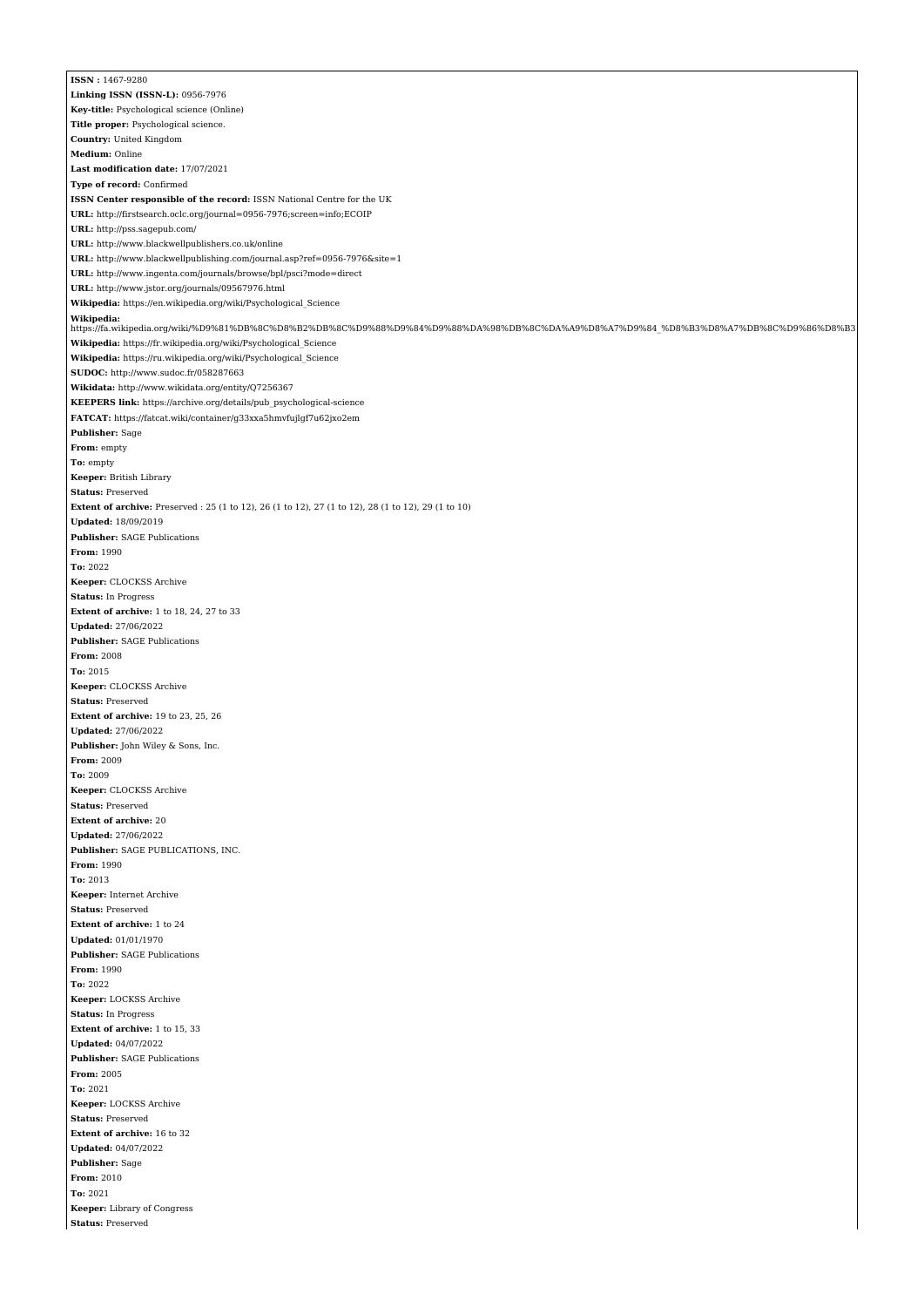**ISSN :** 1467-9280 **Linking ISSN (ISSN-L):** 0956-7976 **Key-title:** Psychological science (Online) **Title proper:** Psychological science. **Country:** United Kingdom **Medium:** Online **Last modification date:** 17/07/2021 **Type of record:** Confirmed **ISSN Center responsible of the record:** ISSN National Centre for the UK **URL:** <http://firstsearch.oclc.org/journal=0956-7976;screen=info;ECOIP> **URL:** <http://pss.sagepub.com/> **URL:** <http://www.blackwellpublishers.co.uk/online> **URL:** <http://www.blackwellpublishing.com/journal.asp?ref=0956-7976&site=1> **URL:** <http://www.ingenta.com/journals/browse/bpl/psci?mode=direct> **URL:** <http://www.jstor.org/journals/09567976.html> **Wikipedia:** [https://en.wikipedia.org/wiki/Psychological\\_Science](https://en.wikipedia.org/wiki/Psychological_Science) **Wikipedia:** [https://fa.wikipedia.org/wiki/%D9%81%DB%8C%D8%B2%DB%8C%D9%88%D9%84%D9%88%DA%98%DB%8C%DA%A9%D8%A7%D9%84\\_%D8%B3%D8%A7%DB%8C%D9%86%D8%B3](https://fa.wikipedia.org/wiki/%D9%81%DB%8C%D8%B2%DB%8C%D9%88%D9%84%D9%88%DA%98%DB%8C%DA%A9%D8%A7%D9%84_%D8%B3%D8%A7%DB%8C%D9%86%D8%B3) **Wikipedia:** [https://fr.wikipedia.org/wiki/Psychological\\_Science](https://fr.wikipedia.org/wiki/Psychological_Science) **Wikipedia:** [https://ru.wikipedia.org/wiki/Psychological\\_Science](https://ru.wikipedia.org/wiki/Psychological_Science) **SUDOC:** <http://www.sudoc.fr/058287663> **Wikidata:** <http://www.wikidata.org/entity/Q7256367> **KEEPERS link:** [https://archive.org/details/pub\\_psychological-science](https://archive.org/details/pub_psychological-science) **FATCAT:** <https://fatcat.wiki/container/g33xxa5hmvfujlgf7u62jxo2em> **Publisher:** Sage **From:** empty **To:** empty **Keeper:** British Library **Status:** Preserved **Extent of archive:** Preserved : 25 (1 to 12), 26 (1 to 12), 27 (1 to 12), 28 (1 to 12), 29 (1 to 10) **Updated:** 18/09/2019 **Publisher:** SAGE Publications **From:** 1990 **To:** 2022 **Keeper:** CLOCKSS Archive **Status:** In Progress **Extent of archive:** 1 to 18, 24, 27 to 33 **Updated:** 27/06/2022 **Publisher:** SAGE Publications **From:** 2008 **To:** 2015 **Keeper:** CLOCKSS Archive **Status:** Preserved **Extent of archive:** 19 to 23, 25, 26 **Updated:** 27/06/2022 **Publisher:** John Wiley & Sons, Inc. **From:** 2009 **To:** 2009 **Keeper:** CLOCKSS Archive **Status:** Preserved **Extent of archive:** 20 **Updated:** 27/06/2022 **Publisher:** SAGE PUBLICATIONS, INC. **From:** 1990 **To:** 2013 **Keeper:** Internet Archive **Status:** Preserved **Extent of archive:** 1 to 24 **Updated:** 01/01/1970 **Publisher:** SAGE Publications **From:** 1990 **To:** 2022 **Keeper:** LOCKSS Archive **Status:** In Progress **Extent of archive:** 1 to 15, 33 **Updated:** 04/07/2022 **Publisher:** SAGE Publications **From:** 2005 **To:** 2021 **Keeper:** LOCKSS Archive **Status:** Preserved **Extent of archive:** 16 to 32 **Updated:** 04/07/2022 **Publisher:** Sage **From:** 2010 **To:** 2021 **Keeper:** Library of Congress **Status:** Preserved